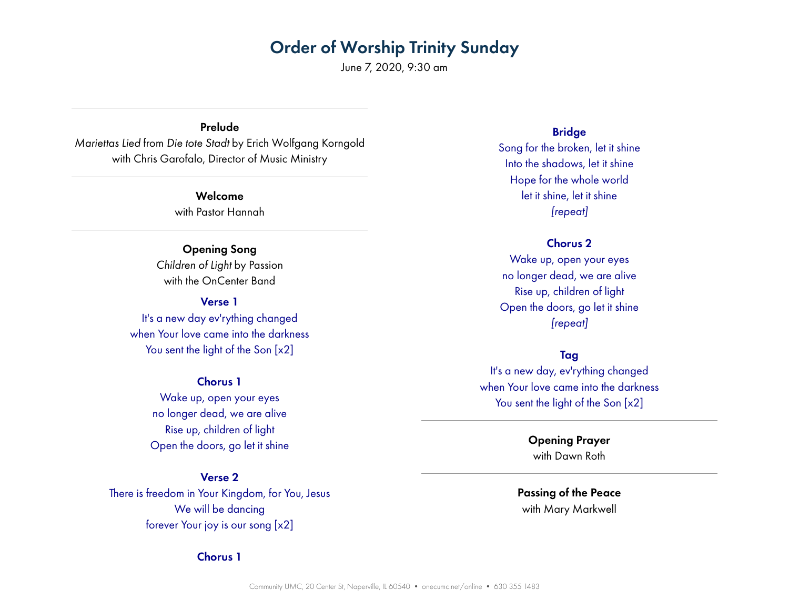June 7, 2020, 9:30 am

Prelude *Mariettas Lied* from *Die tote Stadt* by Erich Wolfgang Korngold with Chris Garofalo, Director of Music Ministry

> Welcome with Pastor Hannah

Opening Song *Children of Light* by Passion with the OnCenter Band

#### Verse 1

It's a new day ev'rything changed when Your love came into the darkness You sent the light of the Son [x2]

#### Chorus 1

Wake up, open your eyes no longer dead, we are alive Rise up, children of light Open the doors, go let it shine

#### Verse 2

There is freedom in Your Kingdom, for You, Jesus We will be dancing forever Your joy is our song [x2]

#### Chorus 1

Bridge

Song for the broken, let it shine Into the shadows, let it shine Hope for the whole world let it shine, let it shine *[repeat]* 

## Chorus 2

Wake up, open your eyes no longer dead, we are alive Rise up, children of light Open the doors, go let it shine *[repeat]* 

## Tag

It's a new day, ev'rything changed when Your love came into the darkness You sent the light of the Son [x2]

> Opening Prayer with Dawn Roth

Passing of the Peace with Mary Markwell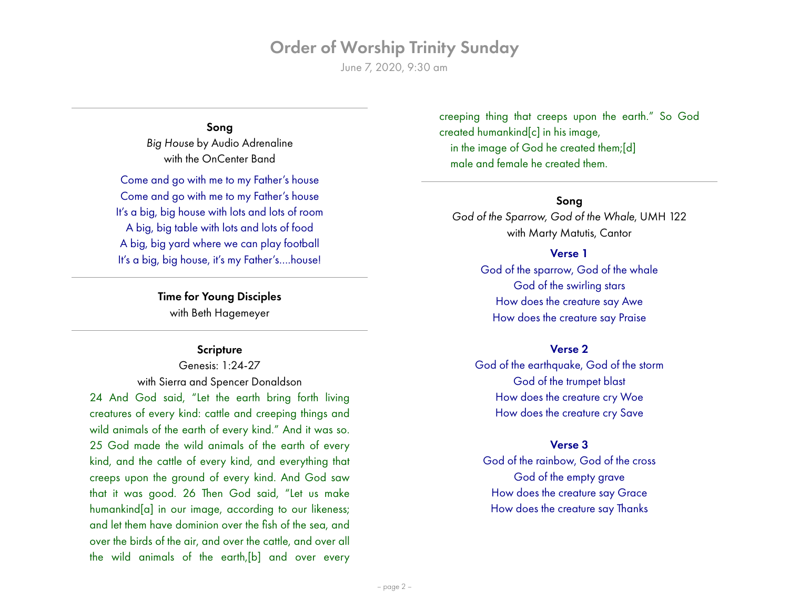June 7, 2020, 9:30 am

Song *Big House* by Audio Adrenaline with the OnCenter Band

Come and go with me to my Father's house Come and go with me to my Father's house It's a big, big house with lots and lots of room A big, big table with lots and lots of food A big, big yard where we can play football It's a big, big house, it's my Father's….house!

> Time for Young Disciples with Beth Hagemeyer

## **Scripture**

Genesis: 1:24-27 with Sierra and Spencer Donaldson

24 And God said, "Let the earth bring forth living creatures of every kind: cattle and creeping things and wild animals of the earth of every kind." And it was so. 25 God made the wild animals of the earth of every kind, and the cattle of every kind, and everything that creeps upon the ground of every kind. And God saw that it was good. 26 Then God said, "Let us make humankind[a] in our image, according to our likeness; and let them have dominion over the fish of the sea, and over the birds of the air, and over the cattle, and over all the wild animals of the earth,[b] and over every creeping thing that creeps upon the earth." So God created humankind[c] in his image, in the image of God he created them;[d] male and female he created them.

#### Song

*God of the Sparrow, God of the Whale*, UMH 122 with Marty Matutis, Cantor

#### Verse 1

God of the sparrow, God of the whale God of the swirling stars How does the creature say Awe How does the creature say Praise

#### Verse 2

God of the earthquake, God of the storm God of the trumpet blast How does the creature cry Woe How does the creature cry Save

#### Verse 3

God of the rainbow, God of the cross God of the empty grave How does the creature say Grace How does the creature say Thanks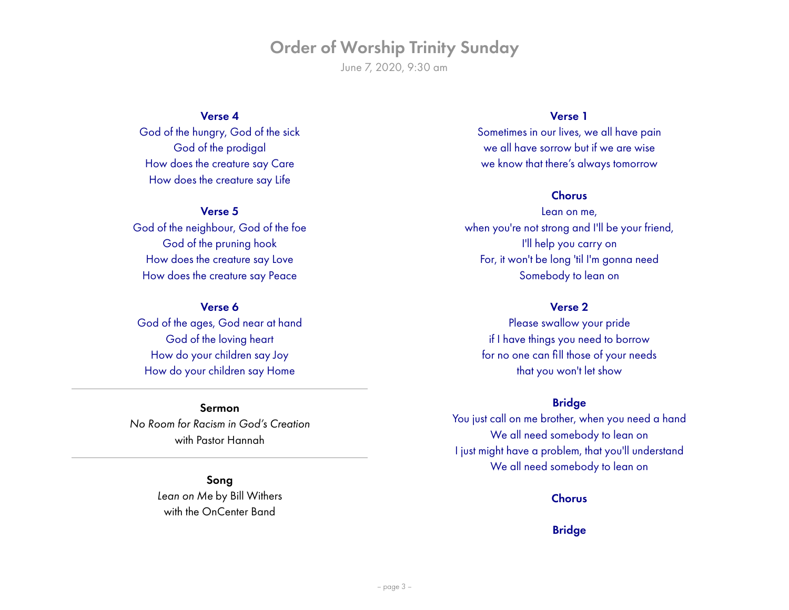June 7, 2020, 9:30 am

#### Verse 4

God of the hungry, God of the sick God of the prodigal How does the creature say Care How does the creature say Life

#### Verse 5

God of the neighbour, God of the foe God of the pruning hook How does the creature say Love How does the creature say Peace

## Verse 6

God of the ages, God near at hand God of the loving heart How do your children say Joy How do your children say Home

#### Sermon

*No Room for Racism in God's Creation*  with Pastor Hannah

> Song *Lean on Me* by Bill Withers with the OnCenter Band

## Verse 1

Sometimes in our lives, we all have pain we all have sorrow but if we are wise we know that there's always tomorrow

## **Chorus**

Lean on me, when you're not strong and I'll be your friend, I'll help you carry on For, it won't be long 'til I'm gonna need Somebody to lean on

## Verse 2

Please swallow your pride if I have things you need to borrow for no one can fill those of your needs that you won't let show

## Bridge

You just call on me brother, when you need a hand We all need somebody to lean on I just might have a problem, that you'll understand We all need somebody to lean on

#### **Chorus**

## Bridge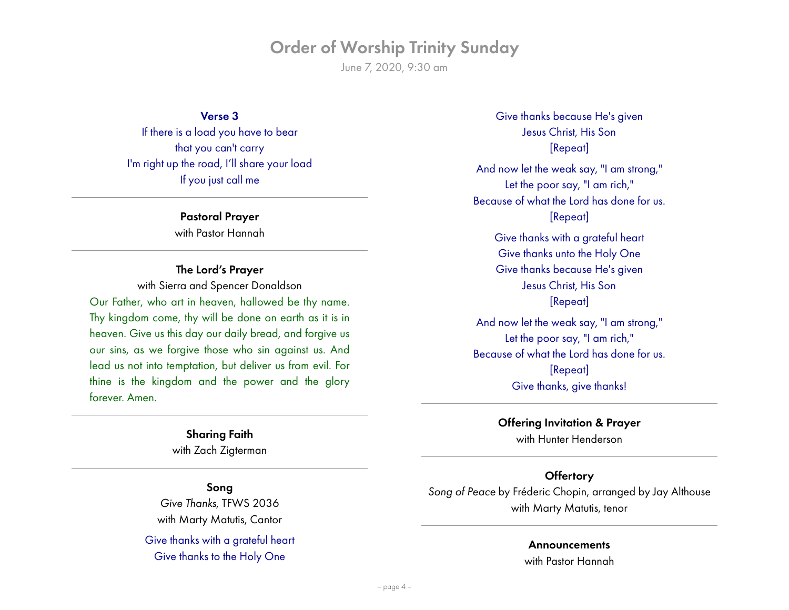June 7, 2020, 9:30 am

Verse 3

If there is a load you have to bear that you can't carry I'm right up the road, I'll share your load If you just call me

> Pastoral Prayer with Pastor Hannah

## The Lord's Prayer

with Sierra and Spencer Donaldson Our Father, who art in heaven, hallowed be thy name. Thy kingdom come, thy will be done on earth as it is in heaven. Give us this day our daily bread, and forgive us our sins, as we forgive those who sin against us. And lead us not into temptation, but deliver us from evil. For thine is the kingdom and the power and the glory forever. Amen.

> Sharing Faith with Zach Zigterman

Song *Give Thanks*, TFWS 2036 with Marty Matutis, Cantor

Give thanks with a grateful heart Give thanks to the Holy One

Give thanks because He's given Jesus Christ, His Son [Repeat] And now let the weak say, "I am strong," Let the poor say, "I am rich,"

Because of what the Lord has done for us. [Repeat]

> Give thanks with a grateful heart Give thanks unto the Holy One Give thanks because He's given Jesus Christ, His Son [Repeat]

And now let the weak say, "I am strong," Let the poor say, "I am rich," Because of what the Lord has done for us. [Repeat] Give thanks, give thanks!

Offering Invitation & Prayer

with Hunter Henderson

## **Offertory**

*Song of Peace* by Fréderic Chopin, arranged by Jay Althouse with Marty Matutis, tenor

## **Announcements**

with Pastor Hannah